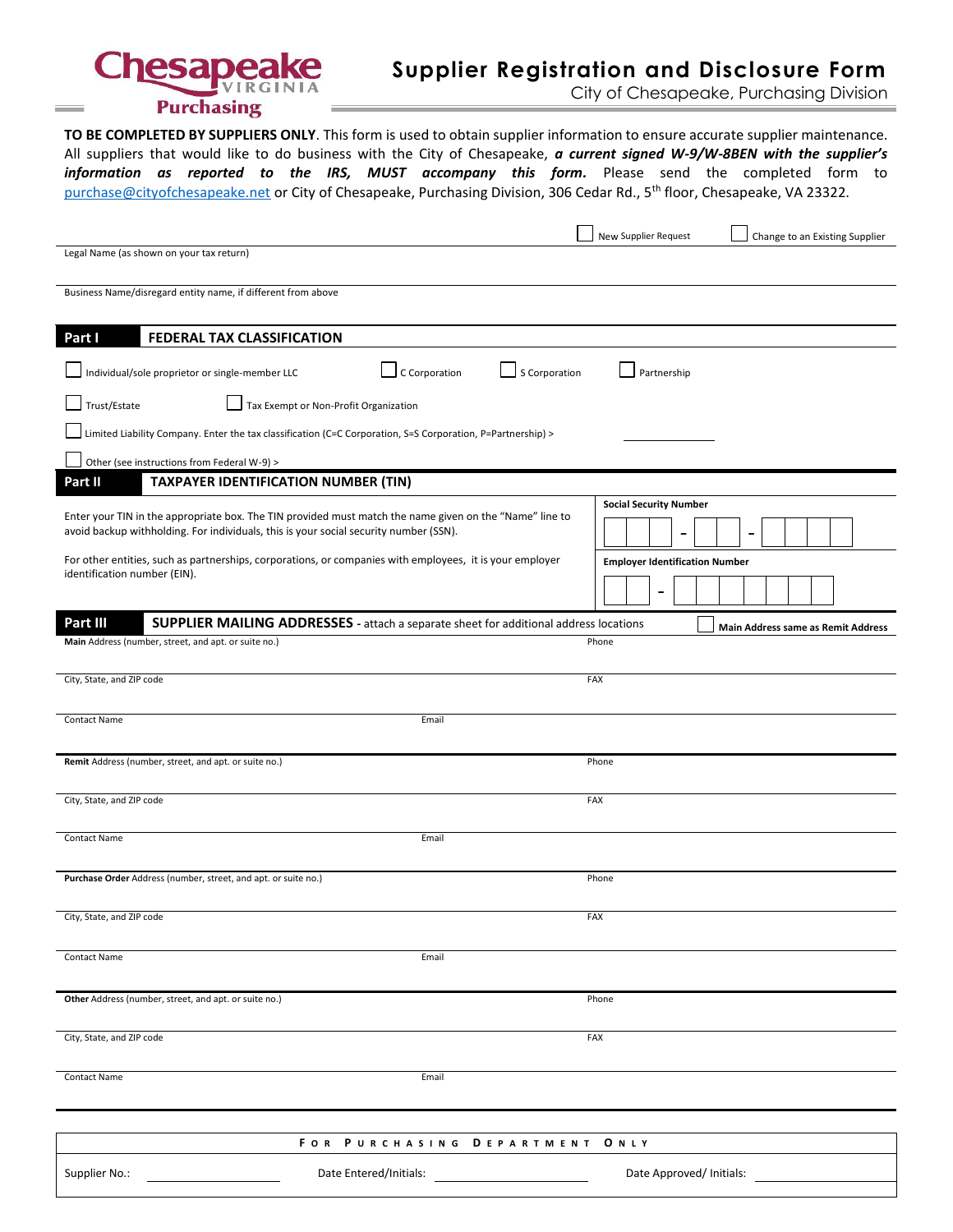

# **Supplier Registration and Disclosure Form**

City of Chesapeake, Purchasing Division

**TO BE COMPLETED BY SUPPLIERS ONLY**. This form is used to obtain supplier information to ensure accurate supplier maintenance. All suppliers that would like to do business with the City of Chesapeake, *a current signed W-9/W-8BEN with the supplier's information as reported to the IRS, MUST accompany this form.* Please send the completed form to [purchase@cityofchesapeake.net](mailto:purchase@cityofchesapeake.net) or City of Chesapeake, Purchasing Division, 306 Cedar Rd., 5<sup>th</sup> floor, Chesapeake, VA 23322.

|                                                                                                                                                                                                                                                 | New Supplier Request<br>Change to an Existing Supplier    |  |  |  |
|-------------------------------------------------------------------------------------------------------------------------------------------------------------------------------------------------------------------------------------------------|-----------------------------------------------------------|--|--|--|
| Legal Name (as shown on your tax return)                                                                                                                                                                                                        |                                                           |  |  |  |
| Business Name/disregard entity name, if different from above                                                                                                                                                                                    |                                                           |  |  |  |
| Part I<br>FEDERAL TAX CLASSIFICATION                                                                                                                                                                                                            |                                                           |  |  |  |
| C Corporation<br>S Corporation<br>Individual/sole proprietor or single-member LLC                                                                                                                                                               | Partnership                                               |  |  |  |
| Trust/Estate<br>Tax Exempt or Non-Profit Organization                                                                                                                                                                                           |                                                           |  |  |  |
| Limited Liability Company. Enter the tax classification (C=C Corporation, S=S Corporation, P=Partnership) >                                                                                                                                     |                                                           |  |  |  |
| Other (see instructions from Federal W-9) >                                                                                                                                                                                                     |                                                           |  |  |  |
| <b>TAXPAYER IDENTIFICATION NUMBER (TIN)</b><br>Part II                                                                                                                                                                                          |                                                           |  |  |  |
| Enter your TIN in the appropriate box. The TIN provided must match the name given on the "Name" line to<br>avoid backup withholding. For individuals, this is your social security number (SSN).                                                | <b>Social Security Number</b><br>$\overline{\phantom{0}}$ |  |  |  |
| For other entities, such as partnerships, corporations, or companies with employees, it is your employer                                                                                                                                        | <b>Employer Identification Number</b>                     |  |  |  |
| identification number (EIN).                                                                                                                                                                                                                    |                                                           |  |  |  |
| Part III<br>SUPPLIER MAILING ADDRESSES - attach a separate sheet for additional address locations                                                                                                                                               | Main Address same as Remit Address                        |  |  |  |
| Main Address (number, street, and apt. or suite no.)                                                                                                                                                                                            | Phone                                                     |  |  |  |
| City, State, and ZIP code                                                                                                                                                                                                                       | FAX                                                       |  |  |  |
| <b>Contact Name</b><br>Email                                                                                                                                                                                                                    |                                                           |  |  |  |
| Remit Address (number, street, and apt. or suite no.)                                                                                                                                                                                           | Phone                                                     |  |  |  |
| City, State, and ZIP code                                                                                                                                                                                                                       | FAX                                                       |  |  |  |
| <b>Contact Name</b><br>Email                                                                                                                                                                                                                    |                                                           |  |  |  |
| Purchase Order Address (number, street, and apt. or suite no.)                                                                                                                                                                                  | Phone                                                     |  |  |  |
| City, State, and ZIP code                                                                                                                                                                                                                       | FAX                                                       |  |  |  |
| <b>Contact Name</b><br>Email                                                                                                                                                                                                                    |                                                           |  |  |  |
| Other Address (number, street, and apt. or suite no.)                                                                                                                                                                                           | Phone                                                     |  |  |  |
| City, State, and ZIP code                                                                                                                                                                                                                       | FAX                                                       |  |  |  |
| Contact Name<br>Email                                                                                                                                                                                                                           |                                                           |  |  |  |
|                                                                                                                                                                                                                                                 |                                                           |  |  |  |
| FOR PURCHASING DEPARTMENT<br><b>ONLY</b>                                                                                                                                                                                                        |                                                           |  |  |  |
| Date Entered/Initials: Note that the state of the state of the state of the state of the state of the state of the state of the state of the state of the state of the state of the state of the state of the state of the sta<br>Supplier No.: | Date Approved/Initials:                                   |  |  |  |
|                                                                                                                                                                                                                                                 |                                                           |  |  |  |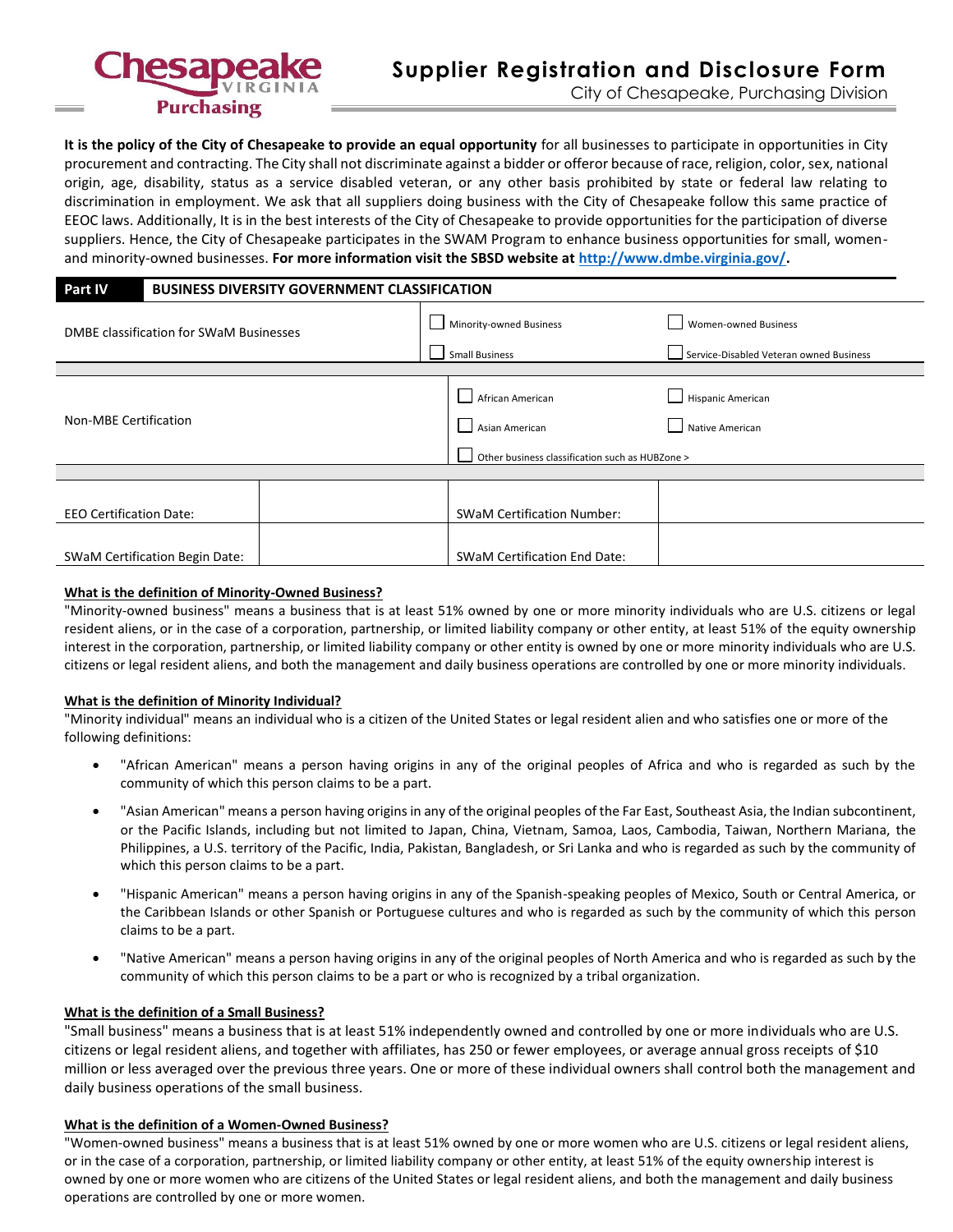

**It is the policy of the City of Chesapeake to provide an equal opportunity** for all businesses to participate in opportunities in City procurement and contracting. The City shall not discriminate against a bidder or offeror because of race, religion, color, sex, national origin, age, disability, status as a service disabled veteran, or any other basis prohibited by state or federal law relating to discrimination in employment. We ask that all suppliers doing business with the City of Chesapeake follow this same practice of EEOC laws. Additionally, It is in the best interests of the City of Chesapeake to provide opportunities for the participation of diverse suppliers. Hence, the City of Chesapeake participates in the SWAM Program to enhance business opportunities for small, womenand minority-owned businesses. **For more information visit the SBSD website at [http://www.dmbe.virginia.gov/.](http://www.dmbe.virginia.gov/)**

## **Part IV BUSINESS DIVERSITY GOVERNMENT CLASSIFICATION**

| DMBE classification for SWaM Businesses | Minority-owned Business                         | Women-owned Business                    |  |
|-----------------------------------------|-------------------------------------------------|-----------------------------------------|--|
|                                         | <b>Small Business</b>                           | Service-Disabled Veteran owned Business |  |
|                                         |                                                 |                                         |  |
|                                         | African American                                | Hispanic American                       |  |
| <b>Non-MBE Certification</b>            | Asian American                                  | Native American                         |  |
|                                         | Other business classification such as HUBZone > |                                         |  |
|                                         |                                                 |                                         |  |
| <b>EEO Certification Date:</b>          | <b>SWaM Certification Number:</b>               |                                         |  |
|                                         |                                                 |                                         |  |
| <b>SWaM Certification Begin Date:</b>   | <b>SWaM Certification End Date:</b>             |                                         |  |

## **What is the definition of Minority-Owned Business?**

"Minority-owned business" means a business that is at least 51% owned by one or more minority individuals who are U.S. citizens or legal resident aliens, or in the case of a corporation, partnership, or limited liability company or other entity, at least 51% of the equity ownership interest in the corporation, partnership, or limited liability company or other entity is owned by one or more minority individuals who are U.S. citizens or legal resident aliens, and both the management and daily business operations are controlled by one or more minority individuals.

## **What is the definition of Minority Individual?**

"Minority individual" means an individual who is a citizen of the United States or legal resident alien and who satisfies one or more of the following definitions:

- "African American" means a person having origins in any of the original peoples of Africa and who is regarded as such by the community of which this person claims to be a part.
- "Asian American" means a person having origins in any of the original peoples of the Far East, Southeast Asia, the Indian subcontinent, or the Pacific Islands, including but not limited to Japan, China, Vietnam, Samoa, Laos, Cambodia, Taiwan, Northern Mariana, the Philippines, a U.S. territory of the Pacific, India, Pakistan, Bangladesh, or Sri Lanka and who is regarded as such by the community of which this person claims to be a part.
- "Hispanic American" means a person having origins in any of the Spanish-speaking peoples of Mexico, South or Central America, or the Caribbean Islands or other Spanish or Portuguese cultures and who is regarded as such by the community of which this person claims to be a part.
- "Native American" means a person having origins in any of the original peoples of North America and who is regarded as such by the community of which this person claims to be a part or who is recognized by a tribal organization.

## **What is the definition of a Small Business?**

"Small business" means a business that is at least 51% independently owned and controlled by one or more individuals who are U.S. citizens or legal resident aliens, and together with affiliates, has 250 or fewer employees, or average annual gross receipts of \$10 million or less averaged over the previous three years. One or more of these individual owners shall control both the management and daily business operations of the small business.

## **What is the definition of a Women-Owned Business?**

"Women-owned business" means a business that is at least 51% owned by one or more women who are U.S. citizens or legal resident aliens, or in the case of a corporation, partnership, or limited liability company or other entity, at least 51% of the equity ownership interest is owned by one or more women who are citizens of the United States or legal resident aliens, and both the management and daily business operations are controlled by one or more women.